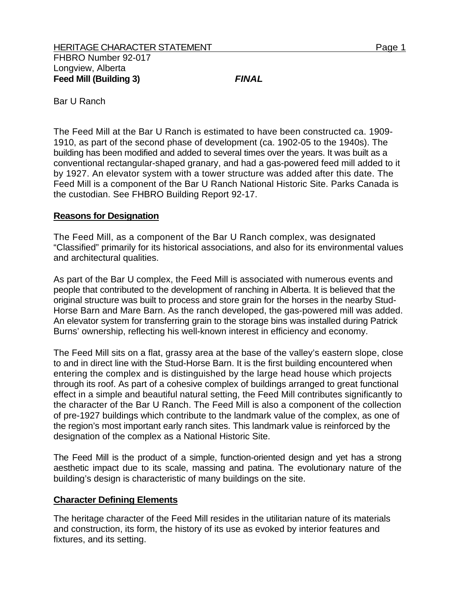Bar U Ranch

The Feed Mill at the Bar U Ranch is estimated to have been constructed ca. 1909- 1910, as part of the second phase of development (ca. 1902-05 to the 1940s). The building has been modified and added to several times over the years. It was built as a conventional rectangular-shaped granary, and had a gas-powered feed mill added to it by 1927. An elevator system with a tower structure was added after this date. The Feed Mill is a component of the Bar U Ranch National Historic Site. Parks Canada is the custodian. See FHBRO Building Report 92-17.

## **Reasons for Designation**

The Feed Mill, as a component of the Bar U Ranch complex, was designated "Classified" primarily for its historical associations, and also for its environmental values and architectural qualities.

As part of the Bar U complex, the Feed Mill is associated with numerous events and people that contributed to the development of ranching in Alberta. It is believed that the original structure was built to process and store grain for the horses in the nearby Stud-Horse Barn and Mare Barn. As the ranch developed, the gas-powered mill was added. An elevator system for transferring grain to the storage bins was installed during Patrick Burns' ownership, reflecting his well-known interest in efficiency and economy.

The Feed Mill sits on a flat, grassy area at the base of the valley's eastern slope, close to and in direct line with the Stud-Horse Barn. It is the first building encountered when entering the complex and is distinguished by the large head house which projects through its roof. As part of a cohesive complex of buildings arranged to great functional effect in a simple and beautiful natural setting, the Feed Mill contributes significantly to the character of the Bar U Ranch. The Feed Mill is also a component of the collection of pre-1927 buildings which contribute to the landmark value of the complex, as one of the region's most important early ranch sites. This landmark value is reinforced by the designation of the complex as a National Historic Site.

The Feed Mill is the product of a simple, function-oriented design and yet has a strong aesthetic impact due to its scale, massing and patina. The evolutionary nature of the building's design is characteristic of many buildings on the site.

## **Character Defining Elements**

The heritage character of the Feed Mill resides in the utilitarian nature of its materials and construction, its form, the history of its use as evoked by interior features and fixtures, and its setting.